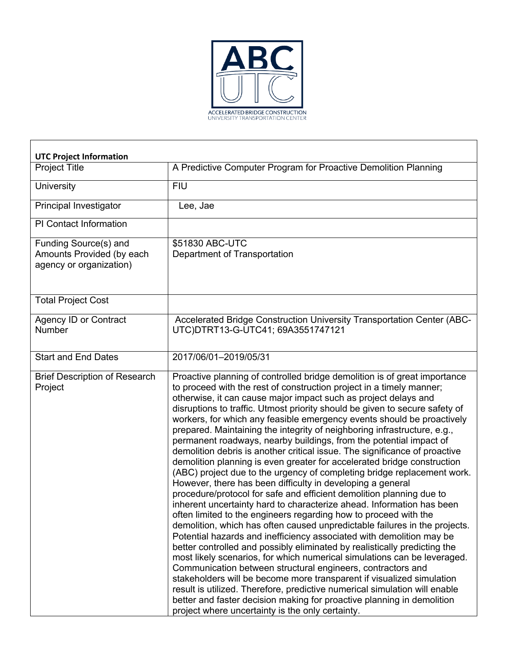

| <b>UTC Project Information</b>                                                |                                                                                                                                                                                                                                                                                                                                                                                                                                                                                                                                                                                                                                                                                                                                                                                                                                                                                                                                                                                                                                                                                                                                                                                                                                                                                                                                                                                                                                                                                                                                                                                                                                                                                                                           |
|-------------------------------------------------------------------------------|---------------------------------------------------------------------------------------------------------------------------------------------------------------------------------------------------------------------------------------------------------------------------------------------------------------------------------------------------------------------------------------------------------------------------------------------------------------------------------------------------------------------------------------------------------------------------------------------------------------------------------------------------------------------------------------------------------------------------------------------------------------------------------------------------------------------------------------------------------------------------------------------------------------------------------------------------------------------------------------------------------------------------------------------------------------------------------------------------------------------------------------------------------------------------------------------------------------------------------------------------------------------------------------------------------------------------------------------------------------------------------------------------------------------------------------------------------------------------------------------------------------------------------------------------------------------------------------------------------------------------------------------------------------------------------------------------------------------------|
| <b>Project Title</b>                                                          | A Predictive Computer Program for Proactive Demolition Planning                                                                                                                                                                                                                                                                                                                                                                                                                                                                                                                                                                                                                                                                                                                                                                                                                                                                                                                                                                                                                                                                                                                                                                                                                                                                                                                                                                                                                                                                                                                                                                                                                                                           |
| University                                                                    | <b>FIU</b>                                                                                                                                                                                                                                                                                                                                                                                                                                                                                                                                                                                                                                                                                                                                                                                                                                                                                                                                                                                                                                                                                                                                                                                                                                                                                                                                                                                                                                                                                                                                                                                                                                                                                                                |
| Principal Investigator                                                        | Lee, Jae                                                                                                                                                                                                                                                                                                                                                                                                                                                                                                                                                                                                                                                                                                                                                                                                                                                                                                                                                                                                                                                                                                                                                                                                                                                                                                                                                                                                                                                                                                                                                                                                                                                                                                                  |
| PI Contact Information                                                        |                                                                                                                                                                                                                                                                                                                                                                                                                                                                                                                                                                                                                                                                                                                                                                                                                                                                                                                                                                                                                                                                                                                                                                                                                                                                                                                                                                                                                                                                                                                                                                                                                                                                                                                           |
| Funding Source(s) and<br>Amounts Provided (by each<br>agency or organization) | \$51830 ABC-UTC<br>Department of Transportation                                                                                                                                                                                                                                                                                                                                                                                                                                                                                                                                                                                                                                                                                                                                                                                                                                                                                                                                                                                                                                                                                                                                                                                                                                                                                                                                                                                                                                                                                                                                                                                                                                                                           |
| <b>Total Project Cost</b>                                                     |                                                                                                                                                                                                                                                                                                                                                                                                                                                                                                                                                                                                                                                                                                                                                                                                                                                                                                                                                                                                                                                                                                                                                                                                                                                                                                                                                                                                                                                                                                                                                                                                                                                                                                                           |
| <b>Agency ID or Contract</b><br>Number                                        | Accelerated Bridge Construction University Transportation Center (ABC-<br>UTC)DTRT13-G-UTC41; 69A3551747121                                                                                                                                                                                                                                                                                                                                                                                                                                                                                                                                                                                                                                                                                                                                                                                                                                                                                                                                                                                                                                                                                                                                                                                                                                                                                                                                                                                                                                                                                                                                                                                                               |
| <b>Start and End Dates</b>                                                    | 2017/06/01-2019/05/31                                                                                                                                                                                                                                                                                                                                                                                                                                                                                                                                                                                                                                                                                                                                                                                                                                                                                                                                                                                                                                                                                                                                                                                                                                                                                                                                                                                                                                                                                                                                                                                                                                                                                                     |
| <b>Brief Description of Research</b><br>Project                               | Proactive planning of controlled bridge demolition is of great importance<br>to proceed with the rest of construction project in a timely manner;<br>otherwise, it can cause major impact such as project delays and<br>disruptions to traffic. Utmost priority should be given to secure safety of<br>workers, for which any feasible emergency events should be proactively<br>prepared. Maintaining the integrity of neighboring infrastructure, e.g.,<br>permanent roadways, nearby buildings, from the potential impact of<br>demolition debris is another critical issue. The significance of proactive<br>demolition planning is even greater for accelerated bridge construction<br>(ABC) project due to the urgency of completing bridge replacement work.<br>However, there has been difficulty in developing a general<br>procedure/protocol for safe and efficient demolition planning due to<br>inherent uncertainty hard to characterize ahead. Information has been<br>often limited to the engineers regarding how to proceed with the<br>demolition, which has often caused unpredictable failures in the projects.<br>Potential hazards and inefficiency associated with demolition may be<br>better controlled and possibly eliminated by realistically predicting the<br>most likely scenarios, for which numerical simulations can be leveraged.<br>Communication between structural engineers, contractors and<br>stakeholders will be become more transparent if visualized simulation<br>result is utilized. Therefore, predictive numerical simulation will enable<br>better and faster decision making for proactive planning in demolition<br>project where uncertainty is the only certainty. |